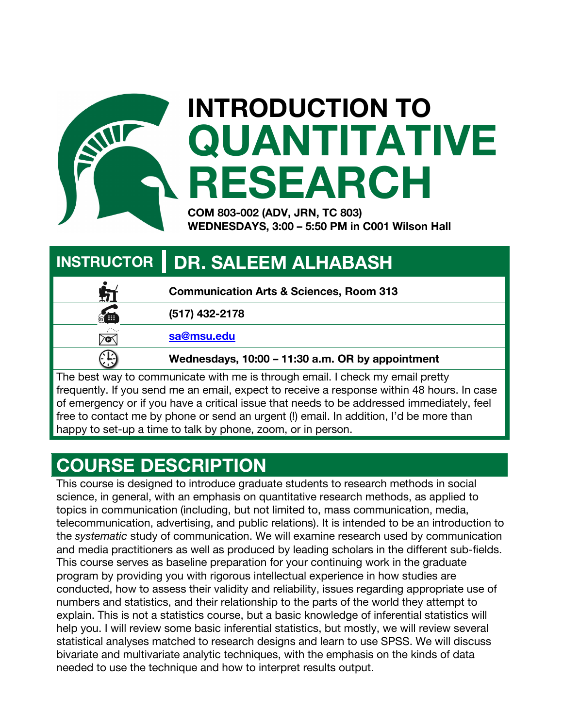

# **INTRODUCTION TO QUANTITATIVE RESEARCH**

**COM 803-002 (ADV, JRN, TC 803) WEDNESDAYS, 3:00 – 5:50 PM in C001 Wilson Hall**

# **INSTRUCTOR | DR. SALEEM ALHABASH**

|             | <b>Communication Arts &amp; Sciences, Room 313</b> |
|-------------|----------------------------------------------------|
| 儘           | (517) 432-2178                                     |
| r Na<br>7Q. | sa@msu.edu                                         |
|             | Wednesdays, 10:00 - 11:30 a.m. OR by appointment   |

The best way to communicate with me is through email. I check my email pretty frequently. If you send me an email, expect to receive a response within 48 hours. In case of emergency or if you have a critical issue that needs to be addressed immediately, feel free to contact me by phone or send an urgent (!) email. In addition, I'd be more than happy to set-up a time to talk by phone, zoom, or in person.

# **COURSE DESCRIPTION**

This course is designed to introduce graduate students to research methods in social science, in general, with an emphasis on quantitative research methods, as applied to topics in communication (including, but not limited to, mass communication, media, telecommunication, advertising, and public relations). It is intended to be an introduction to the *systematic* study of communication. We will examine research used by communication and media practitioners as well as produced by leading scholars in the different sub-fields. This course serves as baseline preparation for your continuing work in the graduate program by providing you with rigorous intellectual experience in how studies are conducted, how to assess their validity and reliability, issues regarding appropriate use of numbers and statistics, and their relationship to the parts of the world they attempt to explain. This is not a statistics course, but a basic knowledge of inferential statistics will help you. I will review some basic inferential statistics, but mostly, we will review several statistical analyses matched to research designs and learn to use SPSS. We will discuss bivariate and multivariate analytic techniques, with the emphasis on the kinds of data needed to use the technique and how to interpret results output.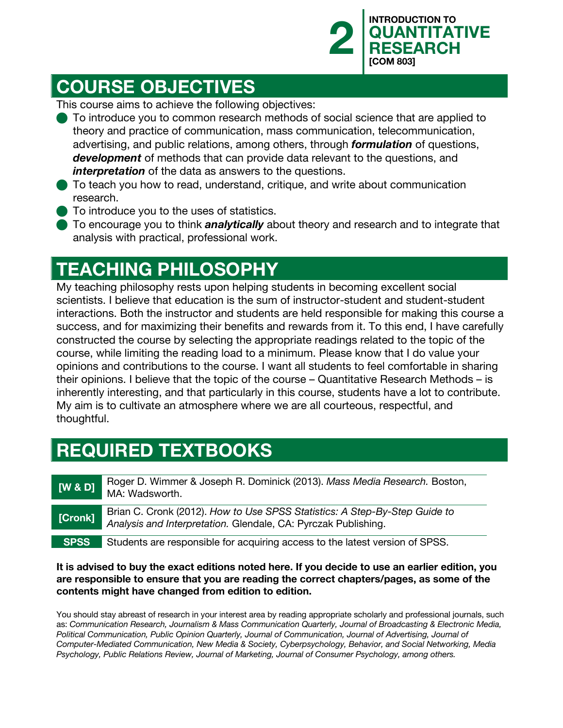

## **COURSE OBJECTIVES**

This course aims to achieve the following objectives:

- To introduce you to common research methods of social science that are applied to theory and practice of communication, mass communication, telecommunication, advertising, and public relations, among others, through *formulation* of questions, *development* of methods that can provide data relevant to the questions, and *interpretation* of the data as answers to the questions.
- To teach you how to read, understand, critique, and write about communication research.
- **n** To introduce you to the uses of statistics.
- To encourage you to think **analytically** about theory and research and to integrate that analysis with practical, professional work.

# **TEACHING PHILOSOPHY**

My teaching philosophy rests upon helping students in becoming excellent social scientists. I believe that education is the sum of instructor-student and student-student interactions. Both the instructor and students are held responsible for making this course a success, and for maximizing their benefits and rewards from it. To this end, I have carefully constructed the course by selecting the appropriate readings related to the topic of the course, while limiting the reading load to a minimum. Please know that I do value your opinions and contributions to the course. I want all students to feel comfortable in sharing their opinions. I believe that the topic of the course – Quantitative Research Methods – is inherently interesting, and that particularly in this course, students have a lot to contribute. My aim is to cultivate an atmosphere where we are all courteous, respectful, and thoughtful.

# **REQUIRED TEXTBOOKS**

**[W & D]** Roger D. Wimmer & Joseph R. Dominick (2013). *Mass Media Research.* Boston, MA: Wadsworth. **[Cronk]** Brian C. Cronk (2012). *How to Use SPSS Statistics: A Step-By-Step Guide to Analysis and Interpretation.* Glendale, CA: Pyrczak Publishing. **SPSS** Students are responsible for acquiring access to the latest version of SPSS.

#### **It is advised to buy the exact editions noted here. If you decide to use an earlier edition, you are responsible to ensure that you are reading the correct chapters/pages, as some of the contents might have changed from edition to edition.**

You should stay abreast of research in your interest area by reading appropriate scholarly and professional journals, such as: *Communication Research, Journalism & Mass Communication Quarterly, Journal of Broadcasting & Electronic Media,*  Political Communication, Public Opinion Quarterly, Journal of Communication, Journal of Advertising, Journal of *Computer-Mediated Communication, New Media & Society, Cyberpsychology, Behavior, and Social Networking, Media Psychology, Public Relations Review, Journal of Marketing, Journal of Consumer Psychology, among others.*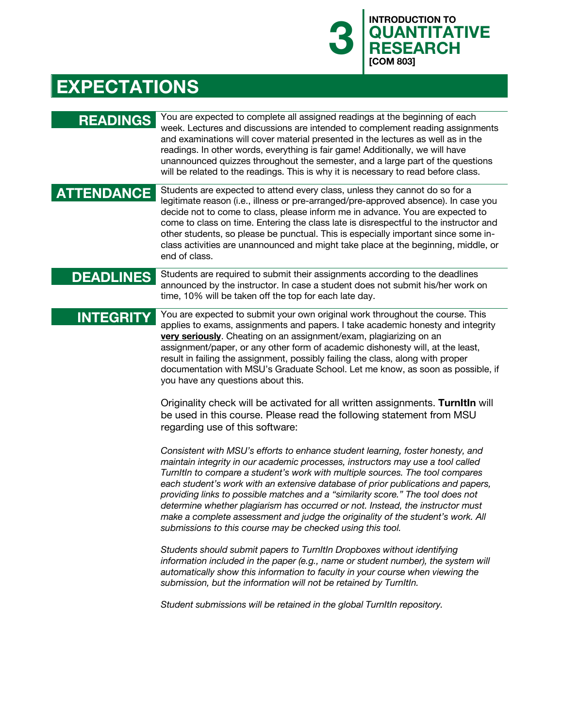# **EXPECTATIONS**

| <b>READINGS</b>   | You are expected to complete all assigned readings at the beginning of each<br>week. Lectures and discussions are intended to complement reading assignments<br>and examinations will cover material presented in the lectures as well as in the<br>readings. In other words, everything is fair game! Additionally, we will have<br>unannounced quizzes throughout the semester, and a large part of the questions<br>will be related to the readings. This is why it is necessary to read before class.                                                                                                                                                    |
|-------------------|--------------------------------------------------------------------------------------------------------------------------------------------------------------------------------------------------------------------------------------------------------------------------------------------------------------------------------------------------------------------------------------------------------------------------------------------------------------------------------------------------------------------------------------------------------------------------------------------------------------------------------------------------------------|
| <b>ATTENDANCE</b> | Students are expected to attend every class, unless they cannot do so for a<br>legitimate reason (i.e., illness or pre-arranged/pre-approved absence). In case you<br>decide not to come to class, please inform me in advance. You are expected to<br>come to class on time. Entering the class late is disrespectful to the instructor and<br>other students, so please be punctual. This is especially important since some in-<br>class activities are unannounced and might take place at the beginning, middle, or<br>end of class.                                                                                                                    |
| <b>DEADLINES</b>  | Students are required to submit their assignments according to the deadlines<br>announced by the instructor. In case a student does not submit his/her work on<br>time, 10% will be taken off the top for each late day.                                                                                                                                                                                                                                                                                                                                                                                                                                     |
| <b>INTEGRITY</b>  | You are expected to submit your own original work throughout the course. This<br>applies to exams, assignments and papers. I take academic honesty and integrity<br>very seriously. Cheating on an assignment/exam, plagiarizing on an<br>assignment/paper, or any other form of academic dishonesty will, at the least,<br>result in failing the assignment, possibly failing the class, along with proper<br>documentation with MSU's Graduate School. Let me know, as soon as possible, if<br>you have any questions about this.                                                                                                                          |
|                   | Originality check will be activated for all written assignments. Turnitin will<br>be used in this course. Please read the following statement from MSU<br>regarding use of this software:                                                                                                                                                                                                                                                                                                                                                                                                                                                                    |
|                   | Consistent with MSU's efforts to enhance student learning, foster honesty, and<br>maintain integrity in our academic processes, instructors may use a tool called<br>Turnitin to compare a student's work with multiple sources. The tool compares<br>each student's work with an extensive database of prior publications and papers,<br>providing links to possible matches and a "similarity score." The tool does not<br>determine whether plagiarism has occurred or not. Instead, the instructor must<br>make a complete assessment and judge the originality of the student's work. All<br>submissions to this course may be checked using this tool. |
|                   | Students should submit papers to TurnItIn Dropboxes without identifying<br>information included in the paper (e.g., name or student number), the system will<br>automatically show this information to faculty in your course when viewing the<br>submission, but the information will not be retained by TurnItIn.                                                                                                                                                                                                                                                                                                                                          |
|                   | Student submissions will be retained in the global TurnItIn repository.                                                                                                                                                                                                                                                                                                                                                                                                                                                                                                                                                                                      |
|                   |                                                                                                                                                                                                                                                                                                                                                                                                                                                                                                                                                                                                                                                              |

**3 QUANTITA**<br>**RESEARCH** 

**[COM 803]**

**QUANTITATIVE**

**RESEARCH**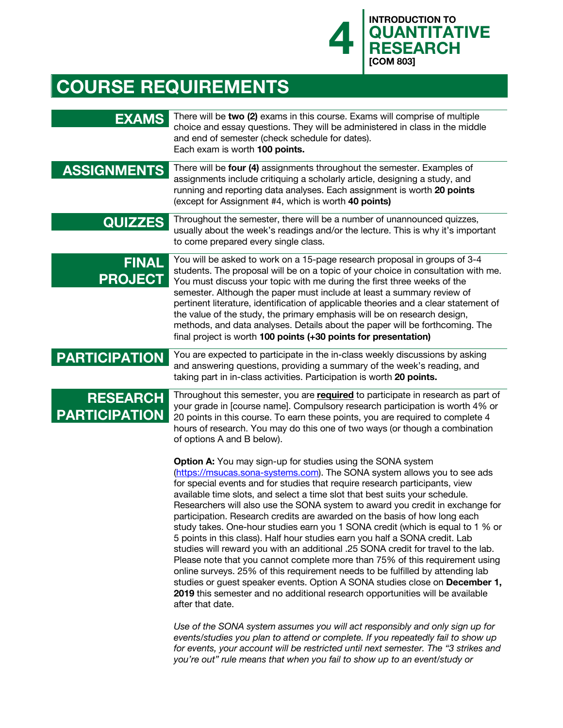

# **COURSE REQUIREMENTS**

| <b>EXAMS</b>                            | There will be two (2) exams in this course. Exams will comprise of multiple<br>choice and essay questions. They will be administered in class in the middle<br>and end of semester (check schedule for dates).<br>Each exam is worth 100 points.                                                                                                                                                                                                                                                                                                                                                                                                                                                                                                                                                                                                                                                                                                                                                                                                                                       |
|-----------------------------------------|----------------------------------------------------------------------------------------------------------------------------------------------------------------------------------------------------------------------------------------------------------------------------------------------------------------------------------------------------------------------------------------------------------------------------------------------------------------------------------------------------------------------------------------------------------------------------------------------------------------------------------------------------------------------------------------------------------------------------------------------------------------------------------------------------------------------------------------------------------------------------------------------------------------------------------------------------------------------------------------------------------------------------------------------------------------------------------------|
| <b>ASSIGNMENTS</b>                      | There will be four (4) assignments throughout the semester. Examples of<br>assignments include critiquing a scholarly article, designing a study, and<br>running and reporting data analyses. Each assignment is worth 20 points<br>(except for Assignment #4, which is worth 40 points)                                                                                                                                                                                                                                                                                                                                                                                                                                                                                                                                                                                                                                                                                                                                                                                               |
| <b>QUIZZES</b>                          | Throughout the semester, there will be a number of unannounced quizzes,<br>usually about the week's readings and/or the lecture. This is why it's important<br>to come prepared every single class.                                                                                                                                                                                                                                                                                                                                                                                                                                                                                                                                                                                                                                                                                                                                                                                                                                                                                    |
| <b>FINAL</b><br><b>PROJECT</b>          | You will be asked to work on a 15-page research proposal in groups of 3-4<br>students. The proposal will be on a topic of your choice in consultation with me.<br>You must discuss your topic with me during the first three weeks of the<br>semester. Although the paper must include at least a summary review of<br>pertinent literature, identification of applicable theories and a clear statement of<br>the value of the study, the primary emphasis will be on research design,<br>methods, and data analyses. Details about the paper will be forthcoming. The<br>final project is worth 100 points (+30 points for presentation)                                                                                                                                                                                                                                                                                                                                                                                                                                             |
| <b>PARTICIPATION</b>                    | You are expected to participate in the in-class weekly discussions by asking<br>and answering questions, providing a summary of the week's reading, and<br>taking part in in-class activities. Participation is worth 20 points.                                                                                                                                                                                                                                                                                                                                                                                                                                                                                                                                                                                                                                                                                                                                                                                                                                                       |
| <b>RESEARCH</b><br><b>PARTICIPATION</b> | Throughout this semester, you are required to participate in research as part of<br>your grade in [course name]. Compulsory research participation is worth 4% or<br>20 points in this course. To earn these points, you are required to complete 4<br>hours of research. You may do this one of two ways (or though a combination<br>of options A and B below).                                                                                                                                                                                                                                                                                                                                                                                                                                                                                                                                                                                                                                                                                                                       |
|                                         | <b>Option A:</b> You may sign-up for studies using the SONA system<br>(https://msucas.sona-systems.com). The SONA system allows you to see ads<br>for special events and for studies that require research participants, view<br>available time slots, and select a time slot that best suits your schedule.<br>Researchers will also use the SONA system to award you credit in exchange for<br>participation. Research credits are awarded on the basis of how long each<br>study takes. One-hour studies earn you 1 SONA credit (which is equal to 1 % or<br>5 points in this class). Half hour studies earn you half a SONA credit. Lab<br>studies will reward you with an additional .25 SONA credit for travel to the lab.<br>Please note that you cannot complete more than 75% of this requirement using<br>online surveys. 25% of this requirement needs to be fulfilled by attending lab<br>studies or guest speaker events. Option A SONA studies close on December 1,<br>2019 this semester and no additional research opportunities will be available<br>after that date. |
|                                         | Use of the SONA system assumes you will act responsibly and only sign up for<br>events/studies you plan to attend or complete. If you repeatedly fail to show up<br>for events, your account will be restricted until next semester. The "3 strikes and<br>you're out" rule means that when you fail to show up to an event/study or                                                                                                                                                                                                                                                                                                                                                                                                                                                                                                                                                                                                                                                                                                                                                   |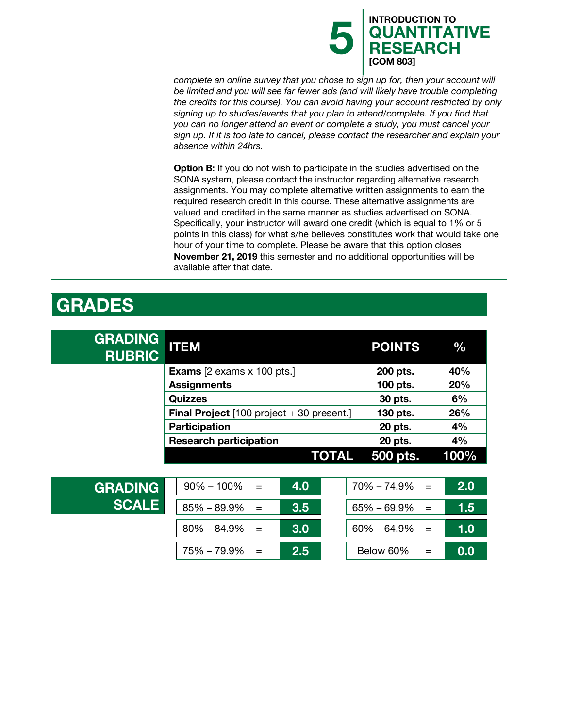

*complete an online survey that you chose to sign up for, then your account will be limited and you will see far fewer ads (and will likely have trouble completing the credits for this course). You can avoid having your account restricted by only signing up to studies/events that you plan to attend/complete. If you find that you can no longer attend an event or complete a study, you must cancel your sign up. If it is too late to cancel, please contact the researcher and explain your absence within 24hrs.*

**Option B:** If you do not wish to participate in the studies advertised on the SONA system, please contact the instructor regarding alternative research assignments. You may complete alternative written assignments to earn the required research credit in this course. These alternative assignments are valued and credited in the same manner as studies advertised on SONA. Specifically, your instructor will award one credit (which is equal to 1% or 5 points in this class) for what s/he believes constitutes work that would take one hour of your time to complete. Please be aware that this option closes **November 21, 2019** this semester and no additional opportunities will be available after that date.

#### **GRADES**

| <b>GRADING</b><br><b>RUBRIC</b> | <b>ITEM</b>                                              | <b>POINTS</b>          | $\frac{0}{0}$ |
|---------------------------------|----------------------------------------------------------|------------------------|---------------|
|                                 | <b>Exams</b> $[2 \text{ exams} \times 100 \text{ pts.}]$ | 200 pts.               | 40%           |
|                                 | <b>Assignments</b>                                       | 100 pts.               | 20%           |
|                                 | <b>Quizzes</b>                                           | 30 pts.                | 6%            |
|                                 | <b>Final Project</b> $[100$ project + 30 present.]       | 130 pts.               | 26%           |
|                                 | <b>Participation</b>                                     | 20 pts.                | 4%            |
|                                 | <b>Research participation</b>                            | 20 pts.                | 4%            |
|                                 | <b>TOTAL</b>                                             | 500 pts.               | 100%          |
|                                 |                                                          |                        |               |
| <b>GRADING</b>                  | 4.0<br>$90\% - 100\%$<br>$=$                             | 70% - 74.9%<br>$=$     | 2.0           |
| <b>SCALE</b>                    | $85\% - 89.9\%$<br>3.5<br>$=$                            | $65\% - 69.9\%$<br>$=$ | 1.5           |
|                                 | 3.0<br>$80\% - 84.9\%$<br>$=$                            | $60\% - 64.9\%$<br>$=$ | 1.0           |
|                                 | 75% - 79.9%<br>2.5                                       | Below 60%<br>$=$       | 0.0           |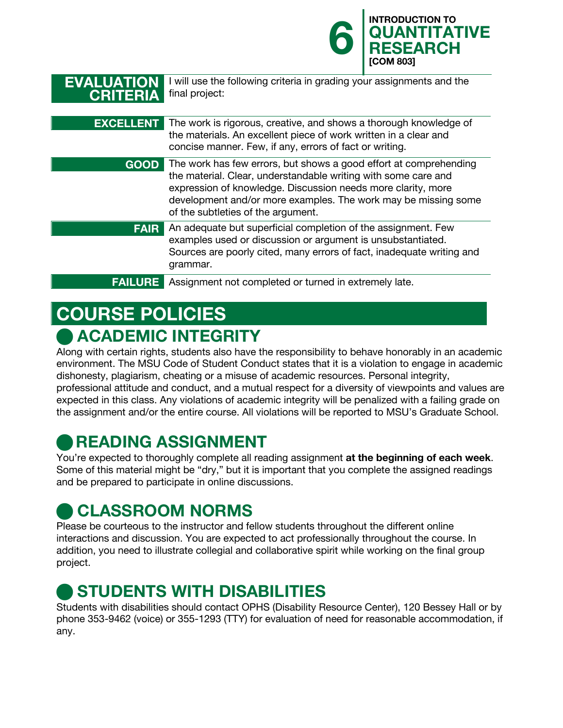|                                      |                                                                                                                                                                                                                                                                                                             | <b>INTRODUCTION TO</b><br>6 QUANTITATIVE<br><b>RESEARCH</b><br><b>[COM 803]</b> |
|--------------------------------------|-------------------------------------------------------------------------------------------------------------------------------------------------------------------------------------------------------------------------------------------------------------------------------------------------------------|---------------------------------------------------------------------------------|
| <b>EVALUATION</b><br><b>CRITERIA</b> | I will use the following criteria in grading your assignments and the<br>final project:                                                                                                                                                                                                                     |                                                                                 |
| <b>EXCELLENT</b>                     | The work is rigorous, creative, and shows a thorough knowledge of<br>the materials. An excellent piece of work written in a clear and<br>concise manner. Few, if any, errors of fact or writing.                                                                                                            |                                                                                 |
| <b>GOOD</b>                          | The work has few errors, but shows a good effort at comprehending<br>the material. Clear, understandable writing with some care and<br>expression of knowledge. Discussion needs more clarity, more<br>development and/or more examples. The work may be missing some<br>of the subtleties of the argument. |                                                                                 |
| <b>FAIR</b>                          | An adequate but superficial completion of the assignment. Few<br>examples used or discussion or argument is unsubstantiated.<br>Sources are poorly cited, many errors of fact, inadequate writing and<br>grammar.                                                                                           |                                                                                 |
| <b>FAILURE</b>                       | Assignment not completed or turned in extremely late.                                                                                                                                                                                                                                                       |                                                                                 |

# **COURSE POLICIES**  n **ACADEMIC INTEGRITY**

Along with certain rights, students also have the responsibility to behave honorably in an academic environment. The MSU Code of Student Conduct states that it is a violation to engage in academic dishonesty, plagiarism, cheating or a misuse of academic resources. Personal integrity, professional attitude and conduct, and a mutual respect for a diversity of viewpoints and values are expected in this class. Any violations of academic integrity will be penalized with a failing grade on the assignment and/or the entire course. All violations will be reported to MSU's Graduate School.

# n **READING ASSIGNMENT**

You're expected to thoroughly complete all reading assignment **at the beginning of each week**. Some of this material might be "dry," but it is important that you complete the assigned readings and be prepared to participate in online discussions.

# n **CLASSROOM NORMS**

Please be courteous to the instructor and fellow students throughout the different online interactions and discussion. You are expected to act professionally throughout the course. In addition, you need to illustrate collegial and collaborative spirit while working on the final group project.

# **STUDENTS WITH DISABILITIES**

Students with disabilities should contact OPHS (Disability Resource Center), 120 Bessey Hall or by phone 353-9462 (voice) or 355-1293 (TTY) for evaluation of need for reasonable accommodation, if any.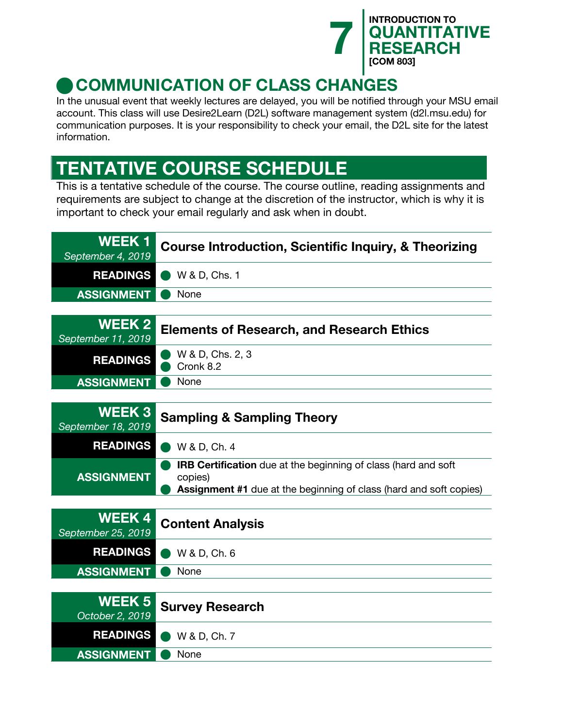

# **COMMUNICATION OF CLASS CHANGES**

In the unusual event that weekly lectures are delayed, you will be notified through your MSU email account. This class will use Desire2Learn (D2L) software management system (d2l.msu.edu) for communication purposes. It is your responsibility to check your email, the D2L site for the latest information.

# **TENTATIVE COURSE SCHEDULE**

This is a tentative schedule of the course. The course outline, reading assignments and requirements are subject to change at the discretion of the instructor, which is why it is important to check your email regularly and ask when in doubt.

| WEEK 1<br>September 4, 2019  | <b>Course Introduction, Scientific Inquiry, &amp; Theorizing</b> |
|------------------------------|------------------------------------------------------------------|
|                              | <b>READINGS</b> W& D, Chs. 1                                     |
| <b>ASSIGNMENT</b>            | None                                                             |
|                              |                                                                  |
| WEEK 2<br>September 11, 2019 | <b>Elements of Research, and Research Ethics</b>                 |

| Septemper TT, 2019       |                               |
|--------------------------|-------------------------------|
| <b>READINGS</b>          | W & D, Chs. 2, 3<br>Cronk 8.2 |
| <b>ASSIGNMENT O None</b> |                               |
|                          |                               |

| September 18, 2019 | <b>WEEK 3</b> Sampling & Sampling Theory                                                                                                                      |
|--------------------|---------------------------------------------------------------------------------------------------------------------------------------------------------------|
|                    | <b>READINGS</b> W&D, Ch. 4                                                                                                                                    |
| <b>ASSIGNMENT</b>  | <b>IRB Certification</b> due at the beginning of class (hard and soft<br>copies)<br><b>Assignment #1</b> due at the beginning of class (hard and soft copies) |

|                          | <b>WEEK 4 Content Analysis</b><br>September 25, 2019 |
|--------------------------|------------------------------------------------------|
|                          | <b>READINGS</b> W&D, Ch. 6                           |
| <b>ASSIGNMENT O None</b> |                                                      |

|                          | WEEK 5<br>October 2, 2019 Survey Research |
|--------------------------|-------------------------------------------|
|                          | <b>READINGS</b> W& D, Ch. 7               |
| <b>ASSIGNMENT O None</b> |                                           |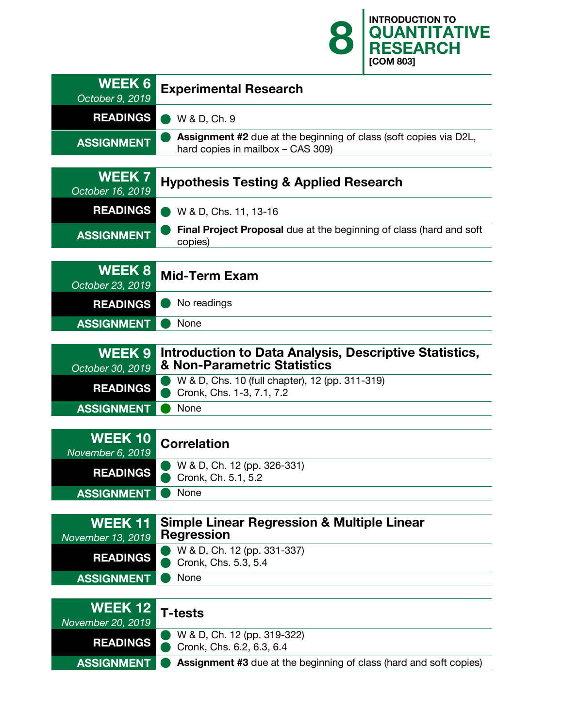**8 QUANTITA RESEARCH [COM 803] WEEK 6 Experimental Research** *October 9, 2019* **READINGS** W & D, Ch. 9 **ASSIGNMENT Assignment #2** due at the beginning of class (soft copies via D2L, hard copies in mailbox – CAS 309) **WEEK 7 Hypothesis Testing & Applied Research** *October 16, 2019* **READINGS N** W & D, Chs. 11, 13-16 **ASSIGNMENT Final Project Proposal** due at the beginning of class (hard and soft copies) **WEEK 8 Mid-Term Exam** *October 23, 2019* **READINGS** No readings **ASSIGNMENT O** None **WEEK 9 Introduction to Data Analysis, Descriptive Statistics,**  *October 30, 2019* **& Non-Parametric Statistics READINGS** W & D, Chs. 10 (full chapter), 12 (pp. 311-319) **Cronk, Chs. 1-3, 7.1, 7.2 ASSIGNMENT** None **WEEK 10 Correlation** *November 6, 2019* **READINGS** W & D, Ch. 12 (pp. 326-331) Cronk, Ch. 5.1, 5.2 **ASSIGNMENT** • None **WEEK 11 Simple Linear Regression & Multiple Linear**  *November 13, 2019* **READINGS** W & D, Ch. 12 (pp. 331-337) **Cronk, Chs. 5.3, 5.4 ASSIGNMENT** None **WEEK 12 T-tests** *November 20, 2019* **READINGS** W & D, Ch. 12 (pp. 319-322) Cronk, Chs. 6.2, 6.3, 6.4 **ASSIGNMENT external Assignment #3** due at the beginning of class (hard and soft copies)

**QUANTITATIVE**